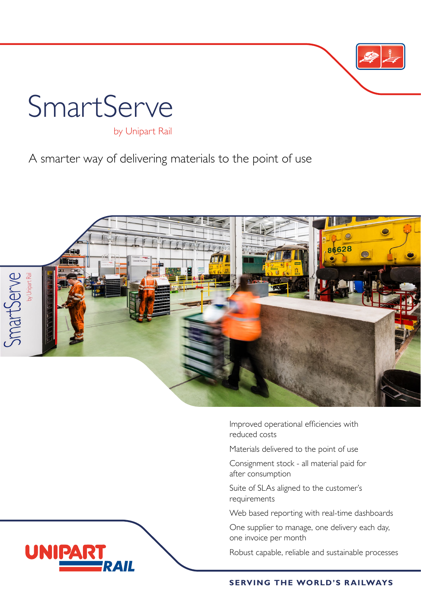

A smarter way of delivering materials to the point of use



Improved operational efficiencies with reduced costs

Materials delivered to the point of use

Consignment stock - all material paid for after consumption

Suite of SLAs aligned to the customer's requirements

Web based reporting with real-time dashboards

One supplier to manage, one delivery each day, one invoice per month

Robust capable, reliable and sustainable processes

#### **SERVING THE WORLD'S RAILWAYS**

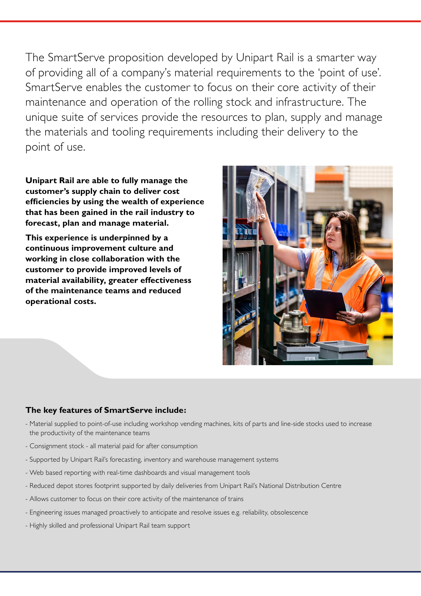The SmartServe proposition developed by Unipart Rail is a smarter way of providing all of a company's material requirements to the 'point of use'. SmartServe enables the customer to focus on their core activity of their maintenance and operation of the rolling stock and infrastructure. The unique suite of services provide the resources to plan, supply and manage the materials and tooling requirements including their delivery to the point of use.

**Unipart Rail are able to fully manage the customer's supply chain to deliver cost efficiencies by using the wealth of experience that has been gained in the rail industry to forecast, plan and manage material.** 

**This experience is underpinned by a continuous improvement culture and working in close collaboration with the customer to provide improved levels of material availability, greater effectiveness of the maintenance teams and reduced operational costs.**



### **The key features of SmartServe include:**

- Material supplied to point-of-use including workshop vending machines, kits of parts and line-side stocks used to increase the productivity of the maintenance teams
- Consignment stock all material paid for after consumption
- Supported by Unipart Rail's forecasting, inventory and warehouse management systems
- Web based reporting with real-time dashboards and visual management tools
- Reduced depot stores footprint supported by daily deliveries from Unipart Rail's National Distribution Centre
- Allows customer to focus on their core activity of the maintenance of trains
- Engineering issues managed proactively to anticipate and resolve issues e.g. reliability, obsolescence
- Highly skilled and professional Unipart Rail team support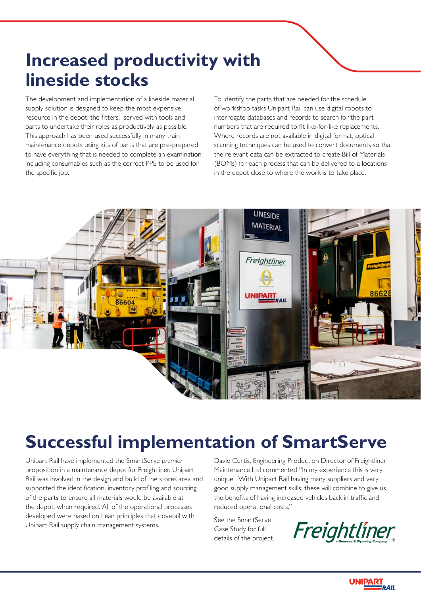# **Increased productivity with lineside stocks**

The development and implementation of a lineside material supply solution is designed to keep the most expensive resource in the depot, the fitters, served with tools and parts to undertake their roles as productively as possible. This approach has been used successfully in many train maintenance depots using kits of parts that are pre-prepared to have everything that is needed to complete an examination including consumables such as the correct PPE to be used for the specific job.

To identify the parts that are needed for the schedule of workshop tasks Unipart Rail can use digital robots to interrogate databases and records to search for the part numbers that are required to fit like-for-like replacements. Where records are not available in digital format, optical scanning techniques can be used to convert documents so that the relevant data can be extracted to create Bill of Materials (BOMs) for each process that can be delivered to a locations in the depot close to where the work is to take place.



# **Successful implementation of SmartServe**

Unipart Rail have implemented the SmartServe *premier*  proposition in a maintenance depot for Freightliner. Unipart Rail was involved in the design and build of the stores area and supported the identification, inventory profiling and sourcing of the parts to ensure all materials would be available at the depot, when required. All of the operational processes developed were based on Lean principles that dovetail with Unipart Rail supply chain management systems.

Davie Curtis, Engineering Production Director of Freightliner Maintenance Ltd commented "In my experience this is very unique. With Unipart Rail having many suppliers and very good supply management skills, these will combine to give us the benefits of having increased vehicles back in traffic and reduced operational costs."

See the SmartServe Case Study for full details of the project.